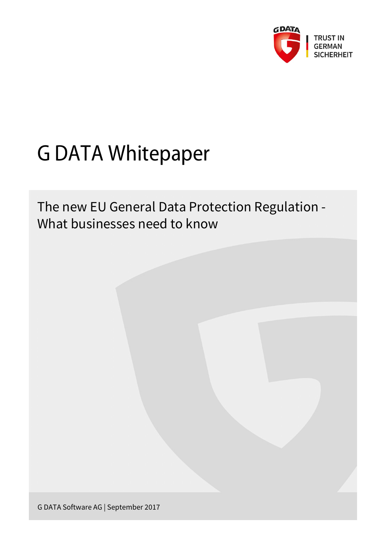

# G DATA Whitepaper

The new EU General Data Protection Regulation - What businesses need to know

G DATA Software AG | September 2017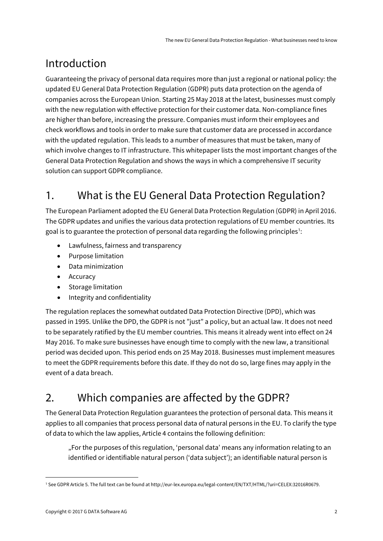# Introduction

Guaranteeing the privacy of personal data requires more than just a regional or national policy: the updated EU General Data Protection Regulation (GDPR) puts data protection on the agenda of companies across the European Union. Starting 25 May 2018 at the latest, businesses must comply with the new regulation with effective protection for their customer data. Non-compliance fines are higher than before, increasing the pressure. Companies must inform their employees and check workflows and tools in order to make sure that customer data are processed in accordance with the updated regulation. This leads to a number of measures that must be taken, many of which involve changes to IT infrastructure. This whitepaper lists the most important changes of the General Data Protection Regulation and shows the ways in which a comprehensive IT security solution can support GDPR compliance.

# 1. What is the EU General Data Protection Regulation?

The European Parliament adopted the EU General Data Protection Regulation (GDPR) in April 2016. The GDPR updates and unifies the various data protection regulations of EU member countries. Its goal is to guarantee the protection of personal data regarding the following principles $^1$  $^1$ :

- Lawfulness, fairness and transparency
- Purpose limitation
- Data minimization
- Accuracy
- Storage limitation
- Integrity and confidentiality

The regulation replaces the somewhat outdated Data Protection Directive (DPD), which was passed in 1995. Unlike the DPD, the GDPR is not "just" a policy, but an actual law. It does not need to be separately ratified by the EU member countries. This means it already went into effect on 24 May 2016. To make sure businesses have enough time to comply with the new law, a transitional period was decided upon. This period ends on 25 May 2018. Businesses must implement measures to meet the GDPR requirements before this date. If they do not do so, large fines may apply in the event of a data breach.

# 2. Which companies are affected by the GDPR?

The General Data Protection Regulation guarantees the protection of personal data. This means it applies to all companies that process personal data of natural persons in the EU. To clarify the type of data to which the law applies, Article 4 contains the following definition:

"For the purposes of this regulation, 'personal data' means any information relating to an identified or identifiable natural person ('data subject'); an identifiable natural person is

<span id="page-1-0"></span> $\overline{a}$ <sup>1</sup> See GDPR Article 5. The full text can be found at http://eur-lex.europa.eu/legal-content/EN/TXT/HTML/?uri=CELEX:32016R0679.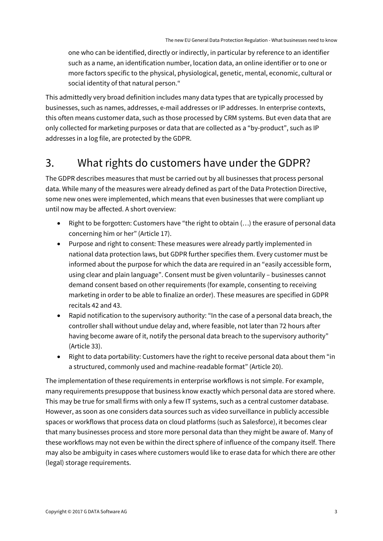one who can be identified, directly or indirectly, in particular by reference to an identifier such as a name, an identification number, location data, an online identifier or to one or more factors specific to the physical, physiological, genetic, mental, economic, cultural or social identity of that natural person."

This admittedly very broad definition includes many data types that are typically processed by businesses, such as names, addresses, e-mail addresses or IP addresses. In enterprise contexts, this often means customer data, such as those processed by CRM systems. But even data that are only collected for marketing purposes or data that are collected as a "by-product", such as IP addresses in a log file, are protected by the GDPR.

#### 3. What rights do customers have under the GDPR?

The GDPR describes measures that must be carried out by all businesses that process personal data. While many of the measures were already defined as part of the Data Protection Directive, some new ones were implemented, which means that even businesses that were compliant up until now may be affected. A short overview:

- Right to be forgotten: Customers have "the right to obtain (…) the erasure of personal data concerning him or her" (Article 17).
- Purpose and right to consent: These measures were already partly implemented in national data protection laws, but GDPR further specifies them. Every customer must be informed about the purpose for which the data are required in an "easily accessible form, using clear and plain language". Consent must be given voluntarily – businesses cannot demand consent based on other requirements (for example, consenting to receiving marketing in order to be able to finalize an order). These measures are specified in GDPR recitals 42 and 43.
- Rapid notification to the supervisory authority: "In the case of a personal data breach, the controller shall without undue delay and, where feasible, not later than 72 hours after having become aware of it, notify the personal data breach to the supervisory authority" (Article 33).
- Right to data portability: Customers have the right to receive personal data about them "in a structured, commonly used and machine-readable format" (Article 20).

The implementation of these requirements in enterprise workflows is not simple. For example, many requirements presuppose that business know exactly which personal data are stored where. This may be true for small firms with only a few IT systems, such as a central customer database. However, as soon as one considers data sources such as video surveillance in publicly accessible spaces or workflows that process data on cloud platforms (such as Salesforce), it becomes clear that many businesses process and store more personal data than they might be aware of. Many of these workflows may not even be within the direct sphere of influence of the company itself. There may also be ambiguity in cases where customers would like to erase data for which there are other (legal) storage requirements.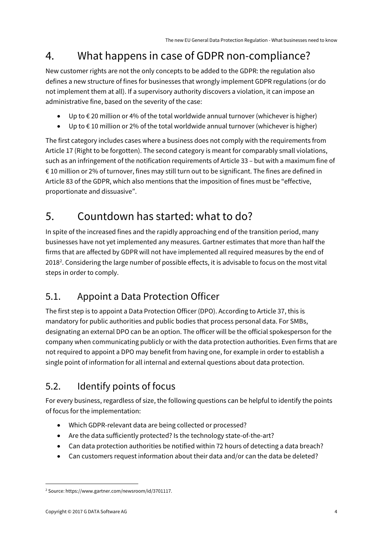## 4. What happens in case of GDPR non-compliance?

New customer rights are not the only concepts to be added to the GDPR: the regulation also defines a new structure of fines for businesses that wrongly implement GDPR regulations (or do not implement them at all). If a supervisory authority discovers a violation, it can impose an administrative fine, based on the severity of the case:

- Up to  $\epsilon$  20 million or 4% of the total worldwide annual turnover (whichever is higher)
- Up to  $\epsilon$  10 million or 2% of the total worldwide annual turnover (whichever is higher)

The first category includes cases where a business does not comply with the requirements from Article 17 (Right to be forgotten). The second category is meant for comparably small violations, such as an infringement of the notification requirements of Article 33 – but with a maximum fine of € 10 million or 2% of turnover, fines may still turn out to be significant. The fines are defined in Article 83 of the GDPR, which also mentions that the imposition of fines must be "effective, proportionate and dissuasive".

## 5. Countdown has started: what to do?

In spite of the increased fines and the rapidly approaching end of the transition period, many businesses have not yet implemented any measures. Gartner estimates that more than half the firms that are affected by GDPR will not have implemented all required measures by the end of [2](#page-3-0)018 $^2$ . Considering the large number of possible effects, it is advisable to focus on the most vital steps in order to comply.

#### 5.1. Appoint a Data Protection Officer

The first step is to appoint a Data Protection Officer (DPO). According to Article 37, this is mandatory for public authorities and public bodies that process personal data. For SMBs, designating an external DPO can be an option. The officer will be the official spokesperson for the company when communicating publicly or with the data protection authorities. Even firms that are not required to appoint a DPO may benefit from having one, for example in order to establish a single point of information for all internal and external questions about data protection.

#### 5.2. Identify points of focus

For every business, regardless of size, the following questions can be helpful to identify the points of focus for the implementation:

- Which GDPR-relevant data are being collected or processed?
- Are the data sufficiently protected? Is the technology state-of-the-art?
- Can data protection authorities be notified within 72 hours of detecting a data breach?
- Can customers request information about their data and/or can the data be deleted?

<span id="page-3-0"></span> $\overline{a}$ <sup>2</sup> Source: https://www.gartner.com/newsroom/id/3701117.